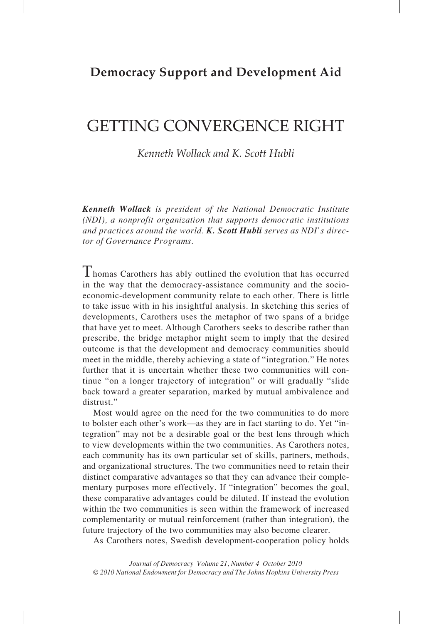## **Democracy Support and Development Aid**

# getting convergence right

*Kenneth Wollack and K. Scott Hubli* 

*Kenneth Wollack is president of the National Democratic Institute (NDI), a nonprofit organization that supports democratic institutions and practices around the world. K. Scott Hubli serves as NDI's director of Governance Programs.*

Thomas Carothers has ably outlined the evolution that has occurred in the way that the democracy-assistance community and the socioeconomic-development community relate to each other. There is little to take issue with in his insightful analysis. In sketching this series of developments, Carothers uses the metaphor of two spans of a bridge that have yet to meet. Although Carothers seeks to describe rather than prescribe, the bridge metaphor might seem to imply that the desired outcome is that the development and democracy communities should meet in the middle, thereby achieving a state of "integration." He notes further that it is uncertain whether these two communities will continue "on a longer trajectory of integration" or will gradually "slide back toward a greater separation, marked by mutual ambivalence and distrust."

Most would agree on the need for the two communities to do more to bolster each other's work—as they are in fact starting to do. Yet "integration" may not be a desirable goal or the best lens through which to view developments within the two communities. As Carothers notes, each community has its own particular set of skills, partners, methods, and organizational structures. The two communities need to retain their distinct comparative advantages so that they can advance their complementary purposes more effectively. If "integration" becomes the goal, these comparative advantages could be diluted. If instead the evolution within the two communities is seen within the framework of increased complementarity or mutual reinforcement (rather than integration), the future trajectory of the two communities may also become clearer.

As Carothers notes, Swedish development-cooperation policy holds

*Journal of Democracy Volume 21, Number 4 October 2010 © 2010 National Endowment for Democracy and The Johns Hopkins University Press*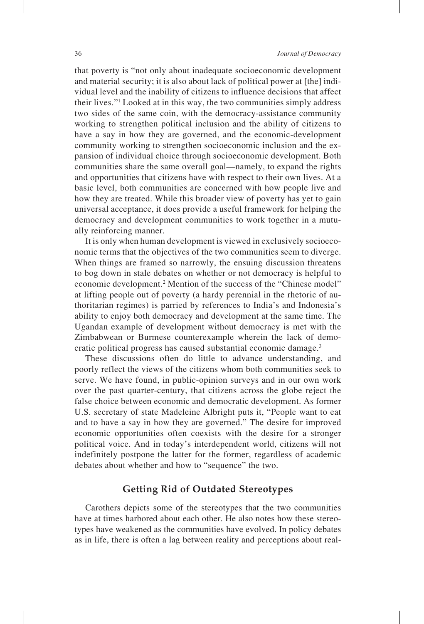that poverty is "not only about inadequate socioeconomic development and material security; it is also about lack of political power at [the] individual level and the inability of citizens to influence decisions that affect their lives."1 Looked at in this way, the two communities simply address two sides of the same coin, with the democracy-assistance community working to strengthen political inclusion and the ability of citizens to have a say in how they are governed, and the economic-development community working to strengthen socioeconomic inclusion and the expansion of individual choice through socioeconomic development. Both communities share the same overall goal—namely, to expand the rights and opportunities that citizens have with respect to their own lives. At a basic level, both communities are concerned with how people live and how they are treated. While this broader view of poverty has yet to gain universal acceptance, it does provide a useful framework for helping the democracy and development communities to work together in a mutually reinforcing manner.

It is only when human development is viewed in exclusively socioeconomic terms that the objectives of the two communities seem to diverge. When things are framed so narrowly, the ensuing discussion threatens to bog down in stale debates on whether or not democracy is helpful to economic development.<sup>2</sup> Mention of the success of the "Chinese model" at lifting people out of poverty (a hardy perennial in the rhetoric of authoritarian regimes) is parried by references to India's and Indonesia's ability to enjoy both democracy and development at the same time. The Ugandan example of development without democracy is met with the Zimbabwean or Burmese counterexample wherein the lack of democratic political progress has caused substantial economic damage.3

These discussions often do little to advance understanding, and poorly reflect the views of the citizens whom both communities seek to serve. We have found, in public-opinion surveys and in our own work over the past quarter-century, that citizens across the globe reject the false choice between economic and democratic development. As former U.S. secretary of state Madeleine Albright puts it, "People want to eat and to have a say in how they are governed." The desire for improved economic opportunities often coexists with the desire for a stronger political voice. And in today's interdependent world, citizens will not indefinitely postpone the latter for the former, regardless of academic debates about whether and how to "sequence" the two.

## **Getting Rid of Outdated Stereotypes**

Carothers depicts some of the stereotypes that the two communities have at times harbored about each other. He also notes how these stereotypes have weakened as the communities have evolved. In policy debates as in life, there is often a lag between reality and perceptions about real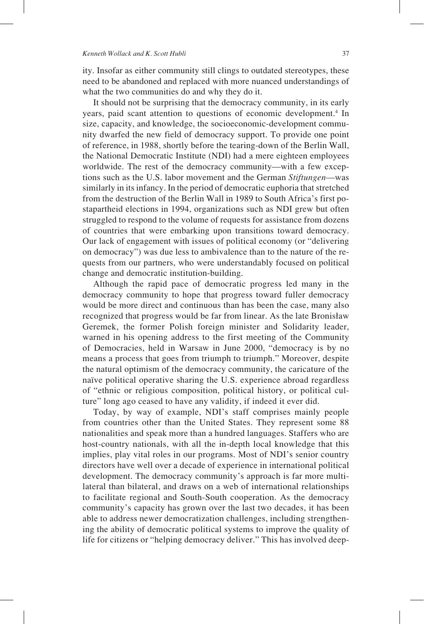ity. Insofar as either community still clings to outdated stereotypes, these need to be abandoned and replaced with more nuanced understandings of what the two communities do and why they do it.

It should not be surprising that the democracy community, in its early years, paid scant attention to questions of economic development.<sup>4</sup> In size, capacity, and knowledge, the socioeconomic-development community dwarfed the new field of democracy support. To provide one point of reference, in 1988, shortly before the tearing-down of the Berlin Wall, the National Democratic Institute (NDI) had a mere eighteen employees worldwide. The rest of the democracy community—with a few exceptions such as the U.S. labor movement and the German *Stiftungen*—was similarly in its infancy. In the period of democratic euphoria that stretched from the destruction of the Berlin Wall in 1989 to South Africa's first postapartheid elections in 1994, organizations such as NDI grew but often struggled to respond to the volume of requests for assistance from dozens of countries that were embarking upon transitions toward democracy. Our lack of engagement with issues of political economy (or "delivering on democracy") was due less to ambivalence than to the nature of the requests from our partners, who were understandably focused on political change and democratic institution-building.

Although the rapid pace of democratic progress led many in the democracy community to hope that progress toward fuller democracy would be more direct and continuous than has been the case, many also recognized that progress would be far from linear. As the late Bronisław Geremek, the former Polish foreign minister and Solidarity leader, warned in his opening address to the first meeting of the Community of Democracies, held in Warsaw in June 2000, "democracy is by no means a process that goes from triumph to triumph." Moreover, despite the natural optimism of the democracy community, the caricature of the naïve political operative sharing the U.S. experience abroad regardless of "ethnic or religious composition, political history, or political culture" long ago ceased to have any validity, if indeed it ever did.

Today, by way of example, NDI's staff comprises mainly people from countries other than the United States. They represent some 88 nationalities and speak more than a hundred languages. Staffers who are host-country nationals, with all the in-depth local knowledge that this implies, play vital roles in our programs. Most of NDI's senior country directors have well over a decade of experience in international political development. The democracy community's approach is far more multilateral than bilateral, and draws on a web of international relationships to facilitate regional and South-South cooperation. As the democracy community's capacity has grown over the last two decades, it has been able to address newer democratization challenges, including strengthening the ability of democratic political systems to improve the quality of life for citizens or "helping democracy deliver." This has involved deep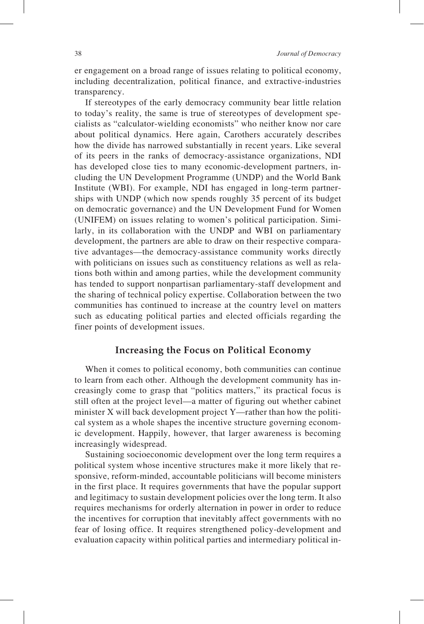er engagement on a broad range of issues relating to political economy, including decentralization, political finance, and extractive-industries transparency.

If stereotypes of the early democracy community bear little relation to today's reality, the same is true of stereotypes of development specialists as "calculator-wielding economists" who neither know nor care about political dynamics. Here again, Carothers accurately describes how the divide has narrowed substantially in recent years. Like several of its peers in the ranks of democracy-assistance organizations, NDI has developed close ties to many economic-development partners, including the UN Development Programme (UNDP) and the World Bank Institute (WBI). For example, NDI has engaged in long-term partnerships with UNDP (which now spends roughly 35 percent of its budget on democratic governance) and the UN Development Fund for Women (UNIFEM) on issues relating to women's political participation. Similarly, in its collaboration with the UNDP and WBI on parliamentary development, the partners are able to draw on their respective comparative advantages—the democracy-assistance community works directly with politicians on issues such as constituency relations as well as relations both within and among parties, while the development community has tended to support nonpartisan parliamentary-staff development and the sharing of technical policy expertise. Collaboration between the two communities has continued to increase at the country level on matters such as educating political parties and elected officials regarding the finer points of development issues.

## **Increasing the Focus on Political Economy**

When it comes to political economy, both communities can continue to learn from each other. Although the development community has increasingly come to grasp that "politics matters," its practical focus is still often at the project level—a matter of figuring out whether cabinet minister X will back development project Y—rather than how the political system as a whole shapes the incentive structure governing economic development. Happily, however, that larger awareness is becoming increasingly widespread.

Sustaining socioeconomic development over the long term requires a political system whose incentive structures make it more likely that responsive, reform-minded, accountable politicians will become ministers in the first place. It requires governments that have the popular support and legitimacy to sustain development policies over the long term. It also requires mechanisms for orderly alternation in power in order to reduce the incentives for corruption that inevitably affect governments with no fear of losing office. It requires strengthened policy-development and evaluation capacity within political parties and intermediary political in-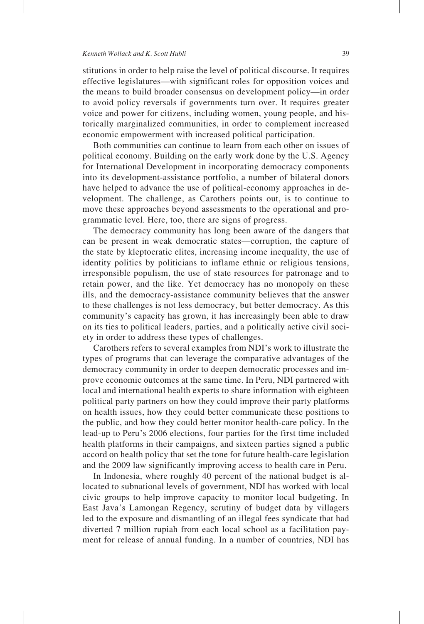#### *Kenneth Wollack and K. Scott Hubli* 39

stitutions in order to help raise the level of political discourse. It requires effective legislatures—with significant roles for opposition voices and the means to build broader consensus on development policy—in order to avoid policy reversals if governments turn over. It requires greater voice and power for citizens, including women, young people, and historically marginalized communities, in order to complement increased economic empowerment with increased political participation.

Both communities can continue to learn from each other on issues of political economy. Building on the early work done by the U.S. Agency for International Development in incorporating democracy components into its development-assistance portfolio, a number of bilateral donors have helped to advance the use of political-economy approaches in development. The challenge, as Carothers points out, is to continue to move these approaches beyond assessments to the operational and programmatic level. Here, too, there are signs of progress.

The democracy community has long been aware of the dangers that can be present in weak democratic states—corruption, the capture of the state by kleptocratic elites, increasing income inequality, the use of identity politics by politicians to inflame ethnic or religious tensions, irresponsible populism, the use of state resources for patronage and to retain power, and the like. Yet democracy has no monopoly on these ills, and the democracy-assistance community believes that the answer to these challenges is not less democracy, but better democracy. As this community's capacity has grown, it has increasingly been able to draw on its ties to political leaders, parties, and a politically active civil society in order to address these types of challenges.

Carothers refers to several examples from NDI's work to illustrate the types of programs that can leverage the comparative advantages of the democracy community in order to deepen democratic processes and improve economic outcomes at the same time. In Peru, NDI partnered with local and international health experts to share information with eighteen political party partners on how they could improve their party platforms on health issues, how they could better communicate these positions to the public, and how they could better monitor health-care policy. In the lead-up to Peru's 2006 elections, four parties for the first time included health platforms in their campaigns, and sixteen parties signed a public accord on health policy that set the tone for future health-care legislation and the 2009 law significantly improving access to health care in Peru.

In Indonesia, where roughly 40 percent of the national budget is allocated to subnational levels of government, NDI has worked with local civic groups to help improve capacity to monitor local budgeting. In East Java's Lamongan Regency, scrutiny of budget data by villagers led to the exposure and dismantling of an illegal fees syndicate that had diverted 7 million rupiah from each local school as a facilitation payment for release of annual funding. In a number of countries, NDI has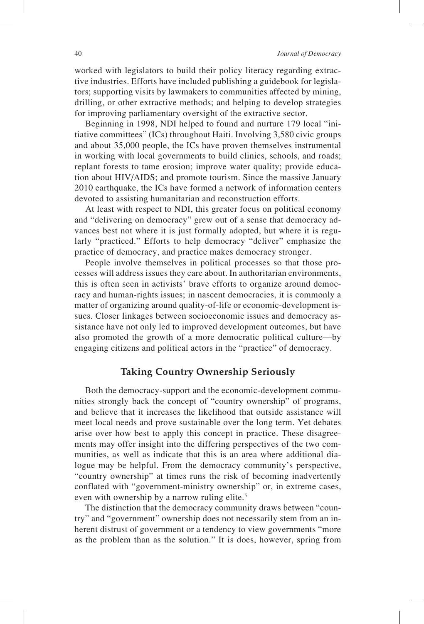worked with legislators to build their policy literacy regarding extractive industries. Efforts have included publishing a guidebook for legislators; supporting visits by lawmakers to communities affected by mining, drilling, or other extractive methods; and helping to develop strategies for improving parliamentary oversight of the extractive sector.

Beginning in 1998, NDI helped to found and nurture 179 local "initiative committees" (ICs) throughout Haiti. Involving 3,580 civic groups and about 35,000 people, the ICs have proven themselves instrumental in working with local governments to build clinics, schools, and roads; replant forests to tame erosion; improve water quality; provide education about HIV/AIDS; and promote tourism. Since the massive January 2010 earthquake, the ICs have formed a network of information centers devoted to assisting humanitarian and reconstruction efforts.

At least with respect to NDI, this greater focus on political economy and "delivering on democracy" grew out of a sense that democracy advances best not where it is just formally adopted, but where it is regularly "practiced." Efforts to help democracy "deliver" emphasize the practice of democracy, and practice makes democracy stronger.

People involve themselves in political processes so that those processes will address issues they care about. In authoritarian environments, this is often seen in activists' brave efforts to organize around democracy and human-rights issues; in nascent democracies, it is commonly a matter of organizing around quality-of-life or economic-development issues. Closer linkages between socioeconomic issues and democracy assistance have not only led to improved development outcomes, but have also promoted the growth of a more democratic political culture—by engaging citizens and political actors in the "practice" of democracy.

## **Taking Country Ownership Seriously**

Both the democracy-support and the economic-development communities strongly back the concept of "country ownership" of programs, and believe that it increases the likelihood that outside assistance will meet local needs and prove sustainable over the long term. Yet debates arise over how best to apply this concept in practice. These disagreements may offer insight into the differing perspectives of the two communities, as well as indicate that this is an area where additional dialogue may be helpful. From the democracy community's perspective, "country ownership" at times runs the risk of becoming inadvertently conflated with "government-ministry ownership" or, in extreme cases, even with ownership by a narrow ruling elite.<sup>5</sup>

The distinction that the democracy community draws between "country" and "government" ownership does not necessarily stem from an inherent distrust of government or a tendency to view governments "more as the problem than as the solution." It is does, however, spring from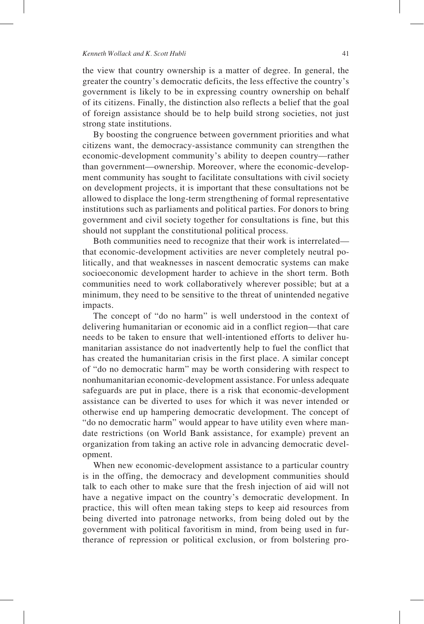#### *Kenneth Wollack and K. Scott Hubli* 41

the view that country ownership is a matter of degree. In general, the greater the country's democratic deficits, the less effective the country's government is likely to be in expressing country ownership on behalf of its citizens. Finally, the distinction also reflects a belief that the goal of foreign assistance should be to help build strong societies, not just strong state institutions.

By boosting the congruence between government priorities and what citizens want, the democracy-assistance community can strengthen the economic-development community's ability to deepen country—rather than government—ownership. Moreover, where the economic-development community has sought to facilitate consultations with civil society on development projects, it is important that these consultations not be allowed to displace the long-term strengthening of formal representative institutions such as parliaments and political parties. For donors to bring government and civil society together for consultations is fine, but this should not supplant the constitutional political process.

Both communities need to recognize that their work is interrelated that economic-development activities are never completely neutral politically, and that weaknesses in nascent democratic systems can make socioeconomic development harder to achieve in the short term. Both communities need to work collaboratively wherever possible; but at a minimum, they need to be sensitive to the threat of unintended negative impacts.

The concept of "do no harm" is well understood in the context of delivering humanitarian or economic aid in a conflict region—that care needs to be taken to ensure that well-intentioned efforts to deliver humanitarian assistance do not inadvertently help to fuel the conflict that has created the humanitarian crisis in the first place. A similar concept of "do no democratic harm" may be worth considering with respect to nonhumanitarian economic-development assistance. For unless adequate safeguards are put in place, there is a risk that economic-development assistance can be diverted to uses for which it was never intended or otherwise end up hampering democratic development. The concept of "do no democratic harm" would appear to have utility even where mandate restrictions (on World Bank assistance, for example) prevent an organization from taking an active role in advancing democratic development.

When new economic-development assistance to a particular country is in the offing, the democracy and development communities should talk to each other to make sure that the fresh injection of aid will not have a negative impact on the country's democratic development. In practice, this will often mean taking steps to keep aid resources from being diverted into patronage networks, from being doled out by the government with political favoritism in mind, from being used in furtherance of repression or political exclusion, or from bolstering pro